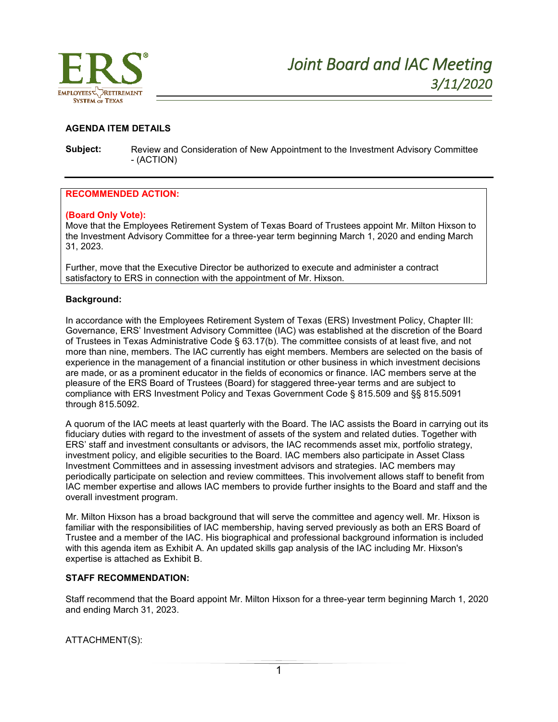

# **AGENDA ITEM DETAILS**

**Subject:** Review and Consideration of New Appointment to the Investment Advisory Committee - (ACTION)

# **RECOMMENDED ACTION:**

## **(Board Only Vote):**

Move that the Employees Retirement System of Texas Board of Trustees appoint Mr. Milton Hixson to the Investment Advisory Committee for a three-year term beginning March 1, 2020 and ending March 31, 2023.

Further, move that the Executive Director be authorized to execute and administer a contract satisfactory to ERS in connection with the appointment of Mr. Hixson.

## **Background:**

In accordance with the Employees Retirement System of Texas (ERS) Investment Policy, Chapter III: Governance, ERS' Investment Advisory Committee (IAC) was established at the discretion of the Board of Trustees in Texas Administrative Code § 63.17(b). The committee consists of at least five, and not more than nine, members. The IAC currently has eight members. Members are selected on the basis of experience in the management of a financial institution or other business in which investment decisions are made, or as a prominent educator in the fields of economics or finance. IAC members serve at the pleasure of the ERS Board of Trustees (Board) for staggered three-year terms and are subject to compliance with ERS Investment Policy and Texas Government Code § 815.509 and §§ 815.5091 through 815.5092.

A quorum of the IAC meets at least quarterly with the Board. The IAC assists the Board in carrying out its fiduciary duties with regard to the investment of assets of the system and related duties. Together with ERS' staff and investment consultants or advisors, the IAC recommends asset mix, portfolio strategy, investment policy, and eligible securities to the Board. IAC members also participate in Asset Class Investment Committees and in assessing investment advisors and strategies. IAC members may periodically participate on selection and review committees. This involvement allows staff to benefit from IAC member expertise and allows IAC members to provide further insights to the Board and staff and the overall investment program.

Mr. Milton Hixson has a broad background that will serve the committee and agency well. Mr. Hixson is familiar with the responsibilities of IAC membership, having served previously as both an ERS Board of Trustee and a member of the IAC. His biographical and professional background information is included with this agenda item as Exhibit A. An updated skills gap analysis of the IAC including Mr. Hixson's expertise is attached as Exhibit B.

## **STAFF RECOMMENDATION:**

Staff recommend that the Board appoint Mr. Milton Hixson for a three-year term beginning March 1, 2020 and ending March 31, 2023.

ATTACHMENT(S):